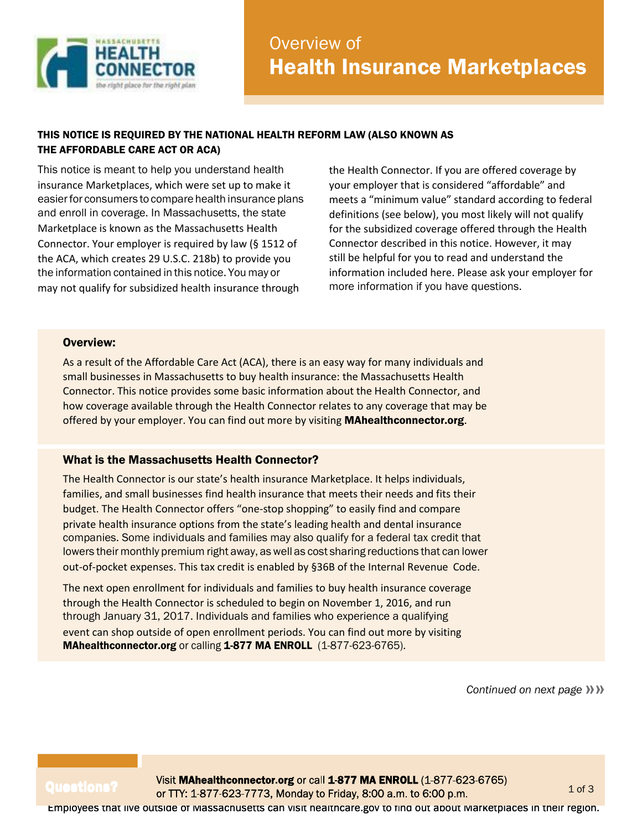

## THIS NOTICE IS REQUIRED BY THE NATIONAL HEALTH REFORM LAW (ALSO KNOWN AS THE AFFORDABLE CARE ACT OR ACA)

This notice is meant to help you understand health insurance Marketplaces, which were set up to make it easier for consumers to compare health insurance plans and enroll in coverage. In Massachusetts, the state Marketplace is known as the Massachusetts Health Connector. Your employer is required by law (§ 1512 of the ACA, which creates 29 U.S.C. 218b) to provide you the information contained in this notice. You may or may not qualify for subsidized health insurance through

the Health Connector. If you are offered coverage by your employer that is considered "affordable" and meets a "minimum value" standard according to federal definitions (see below), you most likely will not qualify for the subsidized coverage offered through the Health Connector described in this notice. However, it may still be helpful for you to read and understand the information included here. Please ask your employer for more information if you have questions.

### Overview:

As a result of the Affordable Care Act (ACA), there is an easy way for many individuals and small businesses in Massachusetts to buy health insurance: the Massachusetts Health Connector. This notice provides some basic information about the Health Connector, and how coverage available through the Health Connector relates to any coverage that may be offered by your employer. You can find out more by visiting **[MAhealthconnector.org](http://mahealthconnector.org/)**.

### What is the Massachusetts Health Connector?

The Health Connector is our state's health insurance Marketplace. It helps individuals, families, and small businesses find health insurance that meets their needs and fits their budget. The Health Connector offers "one-stop shopping" to easily find and compare private health insurance options from the state's leading health and dental insurance companies. Some individuals and families may also qualify for a federal tax credit that lowers their monthly premium right away, as well as cost sharing reductions that can lower out-of-pocket expenses. This tax credit is enabled by §36B of the Internal Revenue Code.

The next open enrollment for individuals and families to buy health insurance coverage through the Health Connector is scheduled to begin on November 1, 2016, and run through January 31, 2017. Individuals and families who experience a qualifying event can shop outside of open enrollment periods. You can find out more by visiting [MAhealthconnector.org](http://mahealthconnector.org/) or calling 1-877 MA ENROLL (1-877-623-6765).

**Continued on next page >>>>>>>>>>>>>>>>>>>>>>>>>>>>>>>** 

Questions? Visit MAhealthconnector.org or call 1-877 MA ENROLL (1-877-623-6765)<br>or TTY: 1-877-623-7773, Monday to Friday, 8:00 a.m. to 6:00 p.m.

Employees that live outside of Massachusetts can visit [healthcare.gov](http://healthcare.gov/) to find out about Marketplaces in their region.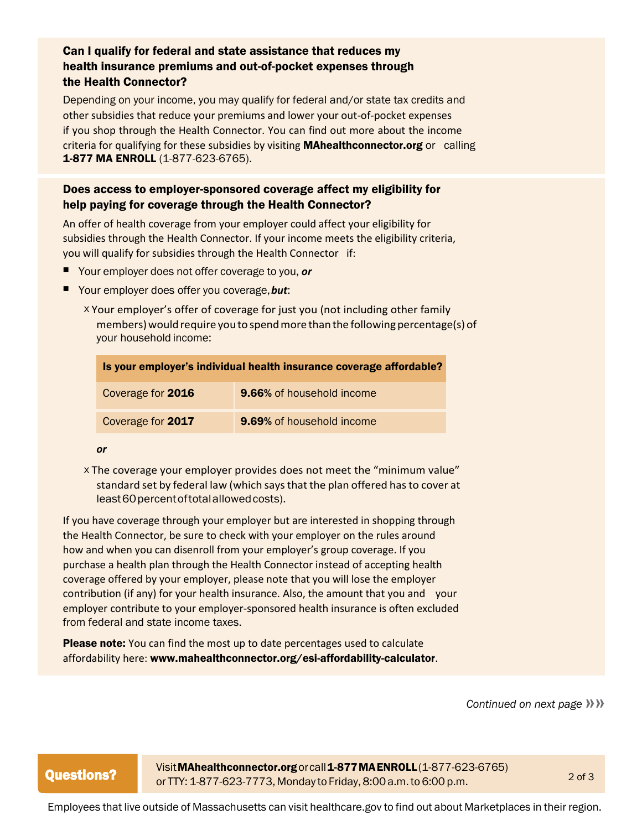# Can I qualify for federal and state assistance that reduces my health insurance premiums and out-of-pocket expenses through the Health Connector?

Depending on your income, you may qualify for federal and/or state tax credits and other subsidies that reduce your premiums and lower your out-of-pocket expenses if you shop through the Health Connector. You can find out more about the income criteria for qualifying for these subsidies by visiting **[MAhealthconnector.org](http://mahealthconnector.org/)** or calling 1-877 MA ENROLL (1-877-623-6765).

# Does access to employer-sponsored coverage affect my eligibility for help paying for coverage through the Health Connector?

An offer of health coverage from your employer could affect your eligibility for subsidies through the Health Connector. If your income meets the eligibility criteria, you will qualify for subsidies through the Health Connector if:

- Your employer does not offer coverage to you, or
- Your employer does offer you coverage, **but:** 
	- <sup>X</sup>Your employer's offer of coverage for just you (not including other family members) would require you to spend more than the following percentage(s) of your household income:

| Is your employer's individual health insurance coverage affordable? |                                  |
|---------------------------------------------------------------------|----------------------------------|
| Coverage for 2016                                                   | <b>9.66%</b> of household income |
| Coverage for 2017                                                   | <b>9.69%</b> of household income |

#### *or*

<sup>X</sup>The coverage your employer provides does not meet the "minimum value" standard set by federal law (which saysthat the plan offered hasto cover at least 60 percent of total allowed costs).

If you have coverage through your employer but are interested in shopping through the Health Connector, be sure to check with your employer on the rules around how and when you can disenroll from your employer's group coverage. If you purchase a health plan through the Health Connector instead of accepting health coverage offered by your employer, please note that you will lose the employer contribution (if any) for your health insurance. Also, the amount that you and your employer contribute to your employer-sponsored health insurance is often excluded from federal and state income taxes.

**Please note:** You can find the most up to date percentages used to calculate affordability here: [www.mahealthconnector.org/esi-affordability-calculator](http://www.mahealthconnector.org/esi-affordability-calculator).

**Continued on next page >>>>>>>>>>>>>>>>>>>>>>>>>>>>>>>>** 

Visit MAhealthconnector.org or call 1-877 MAENROLL (1-877-623-6765) **Questions?** or TTY: 1-877-623-7773, Monday to Friday, 8:00 a.m. to 6:00 p.m.  $2 \text{ of } 3$ 

Employees that live outside of Massachusetts can visit healthcare.gov to find out about Marketplaces in their region.